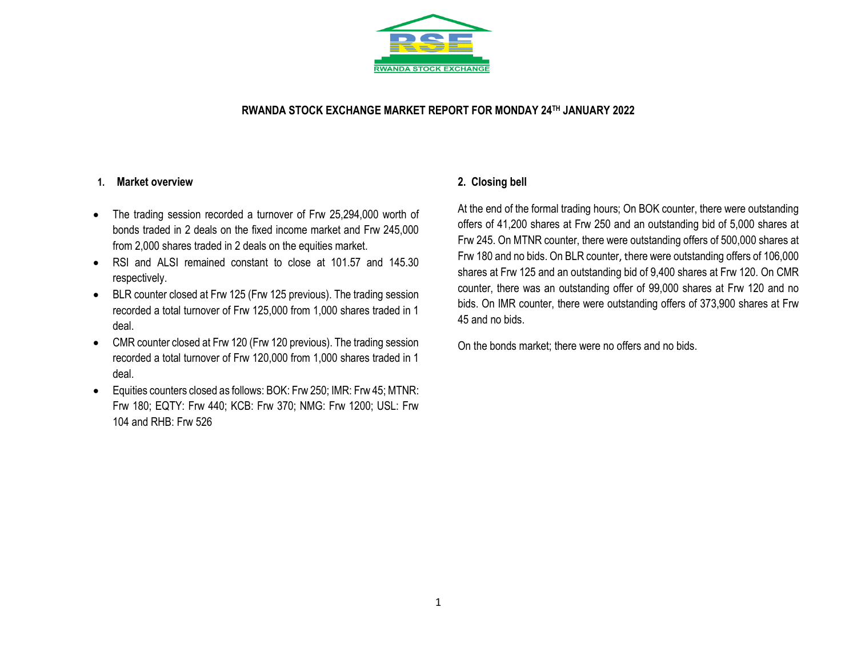

### **RWANDA STOCK EXCHANGE MARKET REPORT FOR MONDAY 24 TH JANUARY 2022**

### **1. Market overview**

- The trading session recorded a turnover of Frw 25,294,000 worth of bonds traded in 2 deals on the fixed income market and Frw 245,000 from 2,000 shares traded in 2 deals on the equities market.
- RSI and ALSI remained constant to close at 101.57 and 145.30 respectively.
- BLR counter closed at Frw 125 (Frw 125 previous). The trading session recorded a total turnover of Frw 125,000 from 1,000 shares traded in 1 deal.
- CMR counter closed at Frw 120 (Frw 120 previous). The trading session recorded a total turnover of Frw 120,000 from 1,000 shares traded in 1 deal.
- Equities counters closed as follows: BOK: Frw 250; IMR: Frw 45; MTNR: Frw 180; EQTY: Frw 440; KCB: Frw 370; NMG: Frw 1200; USL: Frw 104 and RHB: Frw 526

## **2. Closing bell**

At the end of the formal trading hours; On BOK counter, there were outstanding offers of 41,200 shares at Frw 250 and an outstanding bid of 5,000 shares at Frw 245. On MTNR counter, there were outstanding offers of 500,000 shares at Frw 180 and no bids. On BLR counter, there were outstanding offers of 106,000 shares at Frw 125 and an outstanding bid of 9,400 shares at Frw 120. On CMR counter, there was an outstanding offer of 99,000 shares at Frw 120 and no bids. On IMR counter, there were outstanding offers of 373,900 shares at Frw 45 and no bids.

On the bonds market; there were no offers and no bids.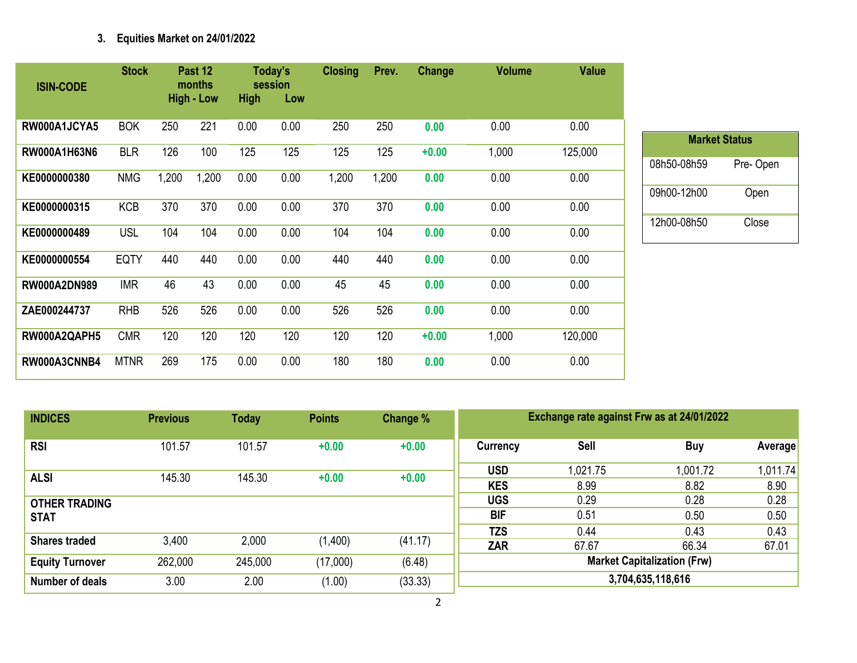# **3. Equities Market on 24/01/2022**

| <b>ISIN-CODE</b>    | <b>Stock</b> |       | Past 12<br>months |             | Today's<br>session | <b>Closing</b> | Prev. | Change  | <b>Volume</b> | <b>Value</b> |
|---------------------|--------------|-------|-------------------|-------------|--------------------|----------------|-------|---------|---------------|--------------|
|                     |              |       | <b>High - Low</b> | <b>High</b> | Low                |                |       |         |               |              |
| RW000A1JCYA5        | <b>BOK</b>   | 250   | 221               | 0.00        | 0.00               | 250            | 250   | 0.00    | 0.00          | 0.00         |
| RW000A1H63N6        | <b>BLR</b>   | 126   | 100               | 125         | 125                | 125            | 125   | $+0.00$ | 1,000         | 125,000      |
| KE0000000380        | <b>NMG</b>   | 1,200 | 1,200             | 0.00        | 0.00               | 1,200          | 1,200 | 0.00    | 0.00          | 0.00         |
| KE0000000315        | <b>KCB</b>   | 370   | 370               | 0.00        | 0.00               | 370            | 370   | 0.00    | 0.00          | 0.00         |
| KE0000000489        | <b>USL</b>   | 104   | 104               | 0.00        | 0.00               | 104            | 104   | 0.00    | 0.00          | 0.00         |
| KE0000000554        | <b>EQTY</b>  | 440   | 440               | 0.00        | 0.00               | 440            | 440   | 0.00    | 0.00          | 0.00         |
| <b>RW000A2DN989</b> | <b>IMR</b>   | 46    | 43                | 0.00        | 0.00               | 45             | 45    | 0.00    | 0.00          | 0.00         |
| ZAE000244737        | <b>RHB</b>   | 526   | 526               | 0.00        | 0.00               | 526            | 526   | 0.00    | 0.00          | 0.00         |
| RW000A2QAPH5        | <b>CMR</b>   | 120   | 120               | 120         | 120                | 120            | 120   | $+0.00$ | 1,000         | 120,000      |
| RW000A3CNNB4        | <b>MTNR</b>  | 269   | 175               | 0.00        | 0.00               | 180            | 180   | 0.00    | 0.00          | 0.00         |

| <b>Market Status</b> |          |  |  |  |  |  |  |  |  |
|----------------------|----------|--|--|--|--|--|--|--|--|
| 08h50-08h59          | Pre-Open |  |  |  |  |  |  |  |  |
| 09h00-12h00          | Open     |  |  |  |  |  |  |  |  |
| 12h00-08h50          | Close    |  |  |  |  |  |  |  |  |

| <b>INDICES</b>         | <b>Previous</b> | <b>Today</b> | <b>Points</b> | Change % | Exchange rate against Frw as at 24/01/2022 |             |          |          |  |
|------------------------|-----------------|--------------|---------------|----------|--------------------------------------------|-------------|----------|----------|--|
| <b>RSI</b>             | 101.57          | 101.57       | $+0.00$       | $+0.00$  | Currency                                   | <b>Sell</b> | Buy      | Average  |  |
| <b>ALSI</b>            | 145.30          | 145.30       | $+0.00$       | $+0.00$  | <b>USD</b>                                 | 1,021.75    | 1,001.72 | 1,011.74 |  |
|                        |                 |              |               |          | <b>KES</b>                                 | 8.99        | 8.82     | 8.90     |  |
| <b>OTHER TRADING</b>   |                 |              |               |          | <b>UGS</b>                                 | 0.29        | 0.28     | 0.28     |  |
| <b>STAT</b>            |                 |              |               |          | <b>BIF</b>                                 | 0.51        | 0.50     | 0.50     |  |
|                        |                 |              |               |          | <b>TZS</b>                                 | 0.44        | 0.43     | 0.43     |  |
| <b>Shares traded</b>   | 3,400           | 2,000        | (1,400)       | (41.17)  | <b>ZAR</b>                                 | 67.67       | 66.34    | 67.01    |  |
| <b>Equity Turnover</b> | 262,000         | 245,000      | (17,000)      | (6.48)   | <b>Market Capitalization (Frw)</b>         |             |          |          |  |
| Number of deals        | 3.00            | 2.00         | (1.00)        | (33.33)  | 3,704,635,118,616                          |             |          |          |  |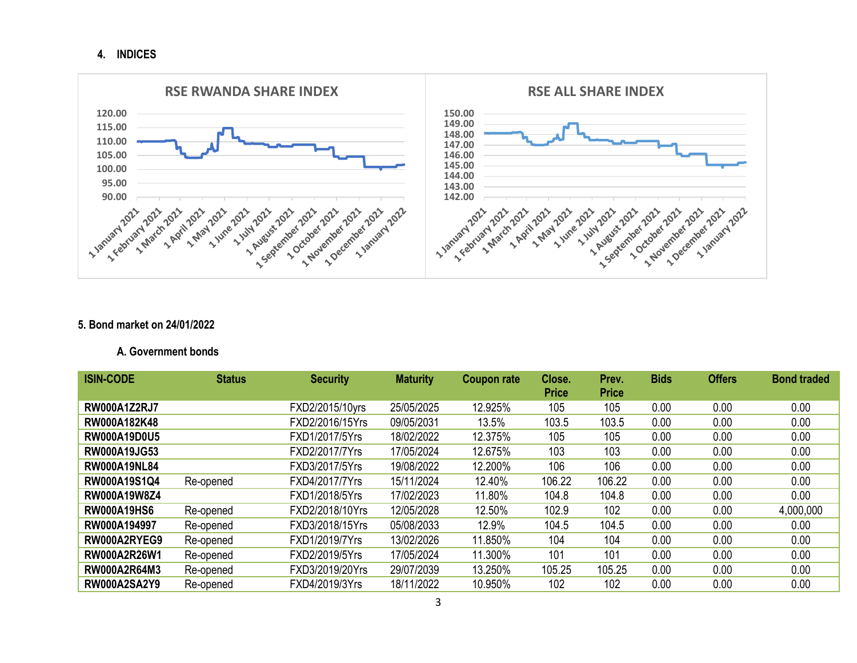**4. INDICES**



### **5. Bond market on 24/01/2022**

#### **A. Government bonds**

| <b>ISIN-CODE</b>    | <b>Status</b> | <b>Security</b> | <b>Maturity</b> | <b>Coupon rate</b> | Close.<br><b>Price</b> | Prev.<br><b>Price</b> | <b>Bids</b> | <b>Offers</b> | <b>Bond traded</b> |
|---------------------|---------------|-----------------|-----------------|--------------------|------------------------|-----------------------|-------------|---------------|--------------------|
| <b>RW000A1Z2RJ7</b> |               | FXD2/2015/10yrs | 25/05/2025      | 12.925%            | 105                    | 105                   | 0.00        | 0.00          | 0.00               |
| RW000A182K48        |               | FXD2/2016/15Yrs | 09/05/2031      | 13.5%              | 103.5                  | 103.5                 | 0.00        | 0.00          | 0.00               |
| <b>RW000A19D0U5</b> |               | FXD1/2017/5Yrs  | 18/02/2022      | 12.375%            | 105                    | 105                   | 0.00        | 0.00          | 0.00               |
| <b>RW000A19JG53</b> |               | FXD2/2017/7Yrs  | 17/05/2024      | 12.675%            | 103                    | 103                   | 0.00        | 0.00          | 0.00               |
| <b>RW000A19NL84</b> |               | FXD3/2017/5Yrs  | 19/08/2022      | 12.200%            | 106                    | 106                   | 0.00        | 0.00          | 0.00               |
| RW000A19S1Q4        | Re-opened     | FXD4/2017/7Yrs  | 15/11/2024      | 12.40%             | 106.22                 | 106.22                | 0.00        | 0.00          | 0.00               |
| RW000A19W8Z4        |               | FXD1/2018/5Yrs  | 17/02/2023      | 11.80%             | 104.8                  | 104.8                 | 0.00        | 0.00          | 0.00               |
| <b>RW000A19HS6</b>  | Re-opened     | FXD2/2018/10Yrs | 12/05/2028      | 12.50%             | 102.9                  | 102                   | 0.00        | 0.00          | 4,000,000          |
| RW000A194997        | Re-opened     | FXD3/2018/15Yrs | 05/08/2033      | 12.9%              | 104.5                  | 104.5                 | 0.00        | 0.00          | 0.00               |
| RW000A2RYEG9        | Re-opened     | FXD1/2019/7Yrs  | 13/02/2026      | 11.850%            | 104                    | 104                   | 0.00        | 0.00          | 0.00               |
| RW000A2R26W1        | Re-opened     | FXD2/2019/5Yrs  | 17/05/2024      | 11.300%            | 101                    | 101                   | 0.00        | 0.00          | 0.00               |
| <b>RW000A2R64M3</b> | Re-opened     | FXD3/2019/20Yrs | 29/07/2039      | 13.250%            | 105.25                 | 105.25                | 0.00        | 0.00          | 0.00               |
| <b>RW000A2SA2Y9</b> | Re-opened     | FXD4/2019/3Yrs  | 18/11/2022      | 10.950%            | 102                    | 102                   | 0.00        | 0.00          | 0.00               |